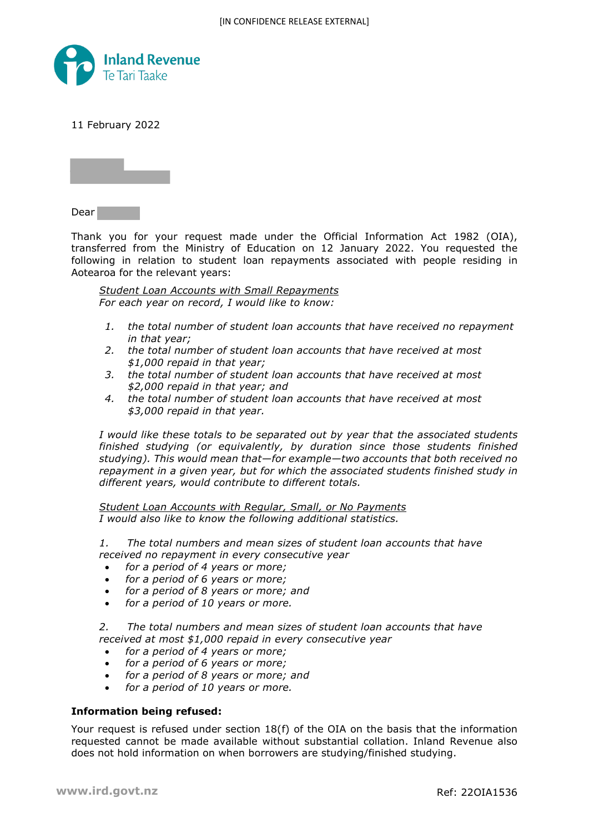

11 February 2022



Dear

Thank you for your request made under the Official Information Act 1982 (OIA), transferred from the Ministry of Education on 12 January 2022. You requested the following in relation to student loan repayments associated with people residing in Aotearoa for the relevant years:

*Student Loan Accounts with Small Repayments For each year on record, I would like to know:*

- *1. the total number of student loan accounts that have received no repayment in that year;*
- *2. the total number of student loan accounts that have received at most \$1,000 repaid in that year;*
- *3. the total number of student loan accounts that have received at most \$2,000 repaid in that year; and*
- *4. the total number of student loan accounts that have received at most \$3,000 repaid in that year.*

*I would like these totals to be separated out by year that the associated students finished studying (or equivalently, by duration since those students finished studying). This would mean that—for example—two accounts that both received no repayment in a given year, but for which the associated students finished study in different years, would contribute to different totals.*

*Student Loan Accounts with Regular, Small, or No Payments I would also like to know the following additional statistics.*

*1. The total numbers and mean sizes of student loan accounts that have received no repayment in every consecutive year*

- *for a period of 4 years or more;*
- *for a period of 6 years or more;*
- *for a period of 8 years or more; and*
- *for a period of 10 years or more.*

*2. The total numbers and mean sizes of student loan accounts that have received at most \$1,000 repaid in every consecutive year*

- *for a period of 4 years or more;*
- *for a period of 6 years or more;*
- *for a period of 8 years or more; and*
- *for a period of 10 years or more.*

## **Information being refused:**

Your request is refused under section  $18(f)$  of the OIA on the basis that the information requested cannot be made available without substantial collation. Inland Revenue also does not hold information on when borrowers are studying/finished studying.